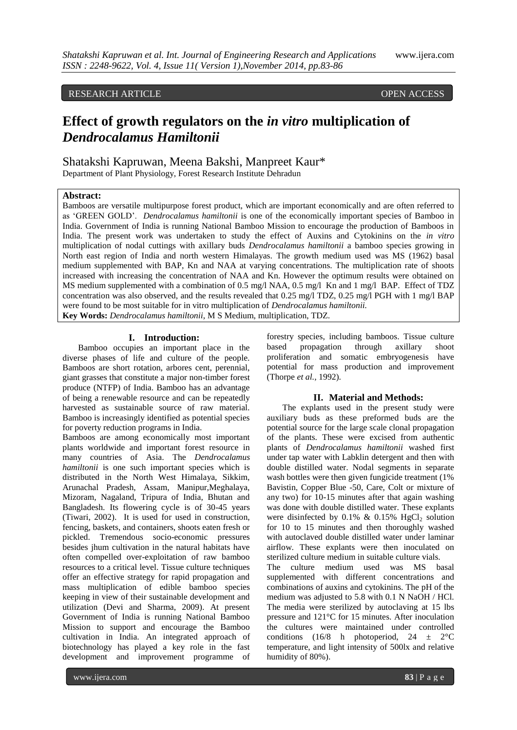## RESEARCH ARTICLE OPEN ACCESS

# **Effect of growth regulators on the** *in vitro* **multiplication of**  *Dendrocalamus Hamiltonii*

Shatakshi Kapruwan, Meena Bakshi, Manpreet Kaur\* Department of Plant Physiology, Forest Research Institute Dehradun

#### **Abstract:**

Bamboos are versatile multipurpose forest product, which are important economically and are often referred to as 'GREEN GOLD'. *Dendrocalamus hamiltonii* is one of the economically important species of Bamboo in India. Government of India is running National Bamboo Mission to encourage the production of Bamboos in India. The present work was undertaken to study the effect of Auxins and Cytokinins on the *in vitro*  multiplication of nodal cuttings with axillary buds *Dendrocalamus hamiltonii* a bamboo species growing in North east region of India and north western Himalayas. The growth medium used was MS (1962) basal medium supplemented with BAP, Kn and NAA at varying concentrations. The multiplication rate of shoots increased with increasing the concentration of NAA and Kn. However the optimum results were obtained on MS medium supplemented with a combination of 0.5 mg/l NAA, 0.5 mg/l Kn and 1 mg/l BAP. Effect of TDZ concentration was also observed, and the results revealed that 0.25 mg/l TDZ, 0.25 mg/l PGH with 1 mg/l BAP were found to be most suitable for in vitro multiplication of *Dendrocalamus hamiltonii.* **Key Words:** *Dendrocalamus hamiltonii*, M S Medium, multiplication, TDZ.

#### **I. Introduction:**

Bamboo occupies an important place in the diverse phases of life and culture of the people. Bamboos are short rotation, arbores cent, perennial, giant grasses that constitute a major non-timber forest produce (NTFP) of India. Bamboo has an advantage of being a renewable resource and can be repeatedly harvested as sustainable source of raw material. Bamboo is increasingly identified as potential species for poverty reduction programs in India.

Bamboos are among economically most important plants worldwide and important forest resource in many countries of Asia. The *Dendrocalamus hamiltonii* is one such important species which is distributed in the North West Himalaya, Sikkim, Arunachal Pradesh, Assam, Manipur,Meghalaya, Mizoram, Nagaland, Tripura of India, Bhutan and Bangladesh. Its flowering cycle is of 30-45 years (Tiwari, 2002). It is used for used in construction, fencing, baskets, and containers, shoots eaten fresh or pickled. Tremendous socio-economic pressures besides jhum cultivation in the natural habitats have often compelled over-exploitation of raw bamboo resources to a critical level. Tissue culture techniques offer an effective strategy for rapid propagation and mass multiplication of edible bamboo species keeping in view of their sustainable development and utilization (Devi and Sharma, 2009). At present Government of India is running National Bamboo Mission to support and encourage the Bamboo cultivation in India. An integrated approach of biotechnology has played a key role in the fast development and improvement programme of

forestry species, including bamboos. Tissue culture based propagation through axillary shoot proliferation and somatic embryogenesis have potential for mass production and improvement (Thorpe *et al.,* 1992).

#### **II. Material and Methods:**

The explants used in the present study were auxiliary buds as these preformed buds are the potential source for the large scale clonal propagation of the plants. These were excised from authentic plants of *Dendrocalamus hamiltonii* washed first under tap water with Labklin detergent and then with double distilled water. Nodal segments in separate wash bottles were then given fungicide treatment (1% Bavistin, Copper Blue -50, Care, Colt or mixture of any two) for 10-15 minutes after that again washing was done with double distilled water. These explants were disinfected by 0.1% & 0.15%  $HgCl<sub>2</sub>$  solution for 10 to 15 minutes and then thoroughly washed with autoclaved double distilled water under laminar airflow. These explants were then inoculated on sterilized culture medium in suitable culture vials.

The culture medium used was MS basal supplemented with different concentrations and combinations of auxins and cytokinins. The pH of the medium was adjusted to 5.8 with 0.1 N NaOH / HCl. The media were sterilized by autoclaving at 15 lbs pressure and 121°C for 15 minutes. After inoculation the cultures were maintained under controlled conditions (16/8 h photoperiod, 24  $\pm$  2°C temperature, and light intensity of 500lx and relative humidity of 80%).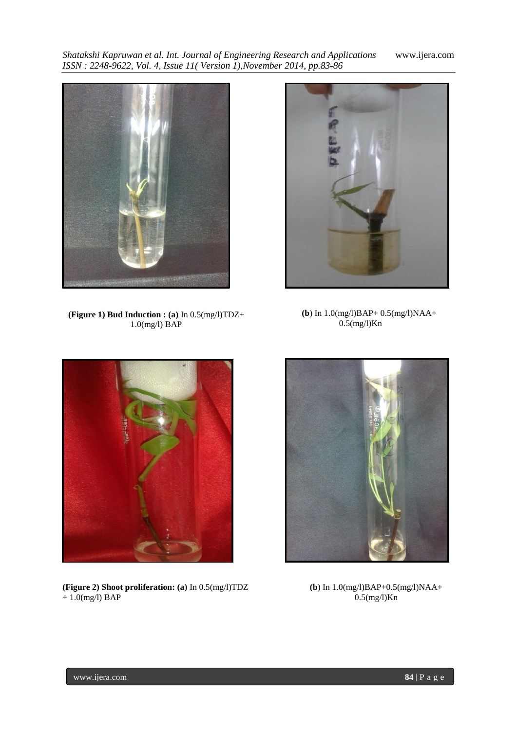*Shatakshi Kapruwan et al. Int. Journal of Engineering Research and Applications* www.ijera.com *ISSN : 2248-9622, Vol. 4, Issue 11( Version 1),November 2014, pp.83-86*



**(Figure 1) Bud Induction : (a)** In 0.5(mg/l)TDZ+ 1.0(mg/l) BAP



 **(b**) In 1.0(mg/l)BAP+ 0.5(mg/l)NAA+ 0.5(mg/l)Kn



**(Figure 2) Shoot proliferation: (a)** In 0.5(mg/l)TDZ  $+ 1.0$ (mg/l) BAP



**(b**) In 1.0(mg/l)BAP+0.5(mg/l)NAA+  $0.5$ (mg/l)Kn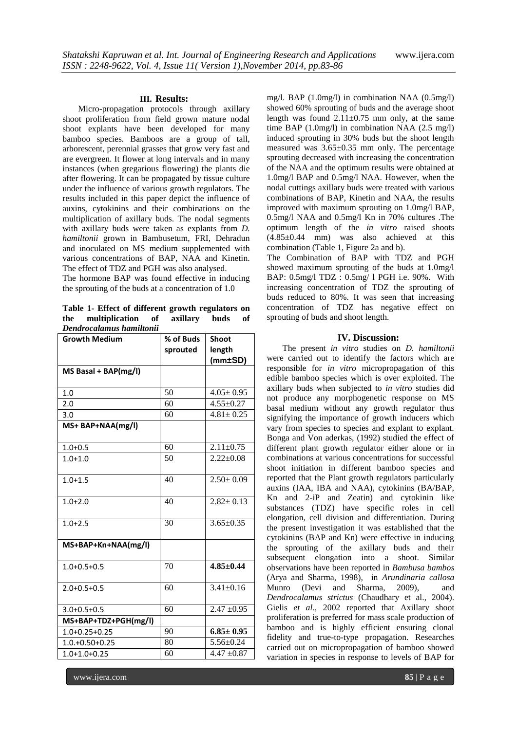#### **III. Results:**

Micro-propagation protocols through axillary shoot proliferation from field grown mature nodal shoot explants have been developed for many bamboo species. Bamboos are a group of tall, arborescent, perennial grasses that grow very fast and are evergreen. It flower at long intervals and in many instances (when gregarious flowering) the plants die after flowering. It can be propagated by tissue culture under the influence of various growth regulators. The results included in this paper depict the influence of auxins, cytokinins and their combinations on the multiplication of axillary buds. The nodal segments with axillary buds were taken as explants from *D. hamiltonii* grown in Bambusetum, FRI, Dehradun and inoculated on MS medium supplemented with various concentrations of BAP, NAA and Kinetin. The effect of TDZ and PGH was also analysed.

The hormone BAP was found effective in inducing the sprouting of the buds at a concentration of 1.0

**Table 1- Effect of different growth regulators on the multiplication of axillary buds of**  *Dendrocalamus hamiltonii*

| <b>Growth Medium</b>   | % of Buds | <b>Shoot</b>    |
|------------------------|-----------|-----------------|
|                        | sprouted  | length          |
|                        |           | $(mm \pm SD)$   |
| $MS$ Basal + BAP(mg/l) |           |                 |
|                        |           |                 |
| 1.0                    | 50        | $4.05 \pm 0.95$ |
| 2.0                    | 60        | $4.55 \pm 0.27$ |
| 3.0                    | 60        | $4.81 \pm 0.25$ |
| $MS+ BAP+NAA(mg/l)$    |           |                 |
| $1.0 + 0.5$            | 60        | $2.11 \pm 0.75$ |
| $1.0 + 1.0$            | 50        | $2.22+0.08$     |
| $1.0 + 1.5$            | 40        | $2.50 \pm 0.09$ |
| $1.0 + 2.0$            | 40        | $2.82 \pm 0.13$ |
| $1.0 + 2.5$            | 30        | $3.65 \pm 0.35$ |
| MS+BAP+Kn+NAA(mg/l)    |           |                 |
| $1.0 + 0.5 + 0.5$      | 70        | $4.85 \pm 0.44$ |
| $2.0 + 0.5 + 0.5$      | 60        | $3.41 \pm 0.16$ |
| $3.0 + 0.5 + 0.5$      | 60        | $2.47 \pm 0.95$ |
| MS+BAP+TDZ+PGH(mg/l)   |           |                 |
| $1.0+0.25+0.25$        | 90        | $6.85 \pm 0.95$ |
| $1.0.+0.50+0.25$       | 80        | $5.56 \pm 0.24$ |
| $1.0 + 1.0 + 0.25$     | 60        | $4.47 \pm 0.87$ |

mg/l. BAP (1.0mg/l) in combination NAA (0.5mg/l) showed 60% sprouting of buds and the average shoot length was found  $2.11 \pm 0.75$  mm only, at the same time BAP (1.0mg/l) in combination NAA (2.5 mg/l) induced sprouting in 30% buds but the shoot length measured was 3.65±0.35 mm only. The percentage sprouting decreased with increasing the concentration of the NAA and the optimum results were obtained at 1.0mg/l BAP and 0.5mg/l NAA. However, when the nodal cuttings axillary buds were treated with various combinations of BAP, Kinetin and NAA, the results improved with maximum sprouting on 1.0mg/l BAP, 0.5mg/l NAA and 0.5mg/l Kn in 70% cultures .The optimum length of the *in vitro* raised shoots  $(4.85\pm0.44$  mm) was also achieved at this combination (Table 1, Figure 2a and b).

The Combination of BAP with TDZ and PGH showed maximum sprouting of the buds at 1.0mg/l BAP: 0.5mg/l TDZ : 0.5mg/ l PGH i.e. 90%. With increasing concentration of TDZ the sprouting of buds reduced to 80%. It was seen that increasing concentration of TDZ has negative effect on sprouting of buds and shoot length.

#### **IV. Discussion:**

The present *in vitro* studies on *D. hamiltonii*  were carried out to identify the factors which are responsible for *in vitro* micropropagation of this edible bamboo species which is over exploited. The axillary buds when subjected to *in vitro* studies did not produce any morphogenetic response on MS basal medium without any growth regulator thus signifying the importance of growth inducers which vary from species to species and explant to explant. Bonga and Von aderkas, (1992) studied the effect of different plant growth regulator either alone or in combinations at various concentrations for successful shoot initiation in different bamboo species and reported that the Plant growth regulators particularly auxins (IAA, IBA and NAA), cytokinins (BA/BAP, Kn and 2-iP and Zeatin) and cytokinin like substances (TDZ) have specific roles in cell elongation, cell division and differentiation. During the present investigation it was established that the cytokinins (BAP and Kn) were effective in inducing the sprouting of the axillary buds and their subsequent elongation into a shoot. Similar observations have been reported in *Bambusa bambos*  (Arya and Sharma, 1998), in *Arundinaria callosa*  (Devi and Sharma, 2009), and *Dendrocalamus strictus* (Chaudhary et al., 2004). Gielis *et al*., 2002 reported that Axillary shoot proliferation is preferred for mass scale production of bamboo and is highly efficient ensuring clonal fidelity and true-to-type propagation. Researches carried out on micropropagation of bamboo showed variation in species in response to levels of BAP for

www.ijera.com **85** | P a g e